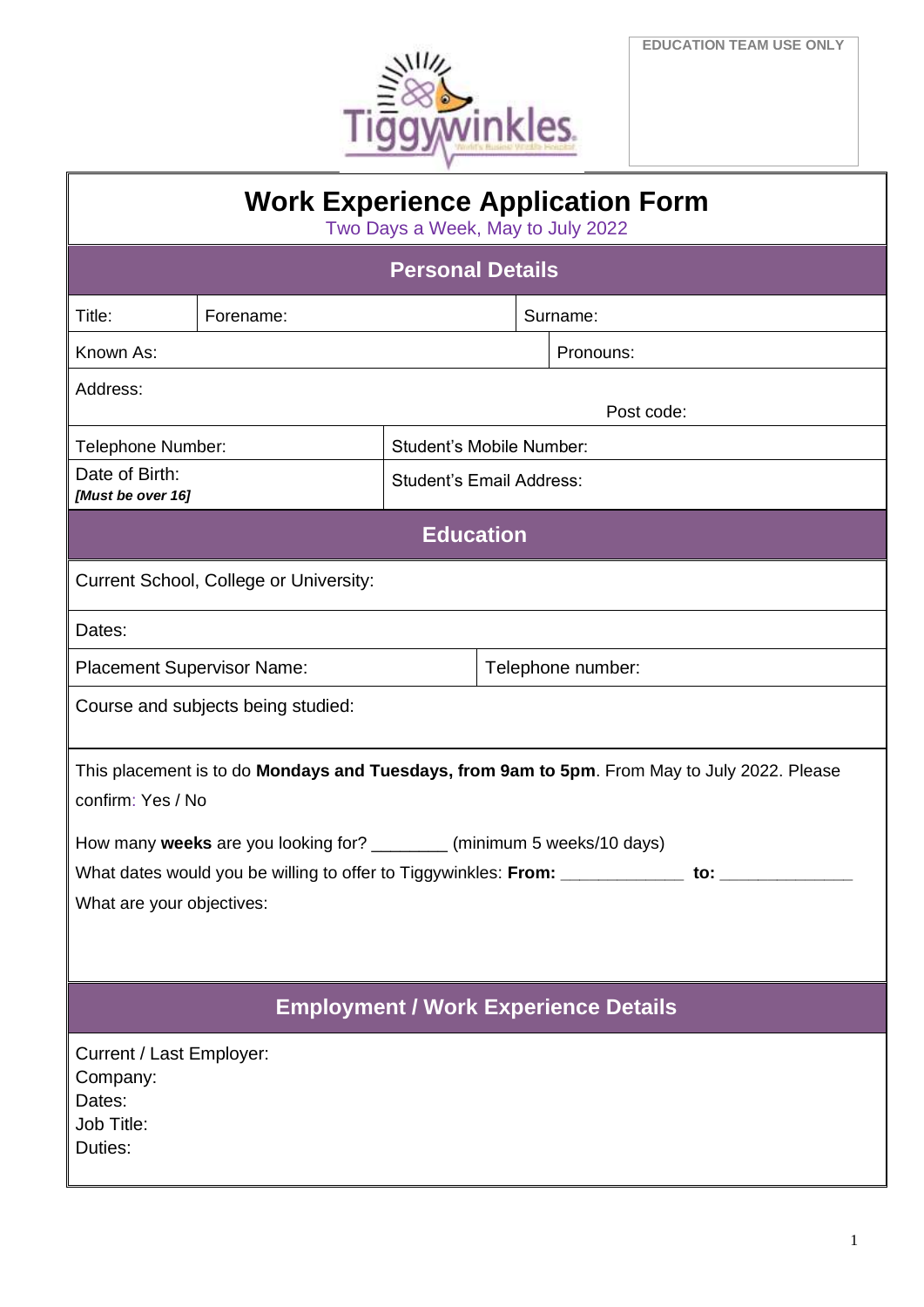

| <b>Work Experience Application Form</b><br>Two Days a Week, May to July 2022                                      |                   |                                 |  |            |  |  |
|-------------------------------------------------------------------------------------------------------------------|-------------------|---------------------------------|--|------------|--|--|
| <b>Personal Details</b>                                                                                           |                   |                                 |  |            |  |  |
| Title:                                                                                                            | Forename:         | Surname:                        |  |            |  |  |
| Known As:                                                                                                         |                   |                                 |  | Pronouns:  |  |  |
| Address:                                                                                                          |                   |                                 |  | Post code: |  |  |
| Telephone Number:                                                                                                 |                   | <b>Student's Mobile Number:</b> |  |            |  |  |
| Date of Birth:<br>[Must be over 16]                                                                               |                   | <b>Student's Email Address:</b> |  |            |  |  |
| <b>Education</b>                                                                                                  |                   |                                 |  |            |  |  |
| <b>Current School, College or University:</b>                                                                     |                   |                                 |  |            |  |  |
| Dates:                                                                                                            |                   |                                 |  |            |  |  |
| <b>Placement Supervisor Name:</b>                                                                                 | Telephone number: |                                 |  |            |  |  |
| Course and subjects being studied:                                                                                |                   |                                 |  |            |  |  |
| This placement is to do Mondays and Tuesdays, from 9am to 5pm. From May to July 2022. Please<br>confirm: Yes / No |                   |                                 |  |            |  |  |
| How many weeks are you looking for? ________<br>(minimum 5 weeks/10 days)                                         |                   |                                 |  |            |  |  |
| What dates would you be willing to offer to Tiggywinkles: From: ______________ to: _______________                |                   |                                 |  |            |  |  |
| What are your objectives:                                                                                         |                   |                                 |  |            |  |  |
|                                                                                                                   |                   |                                 |  |            |  |  |
| <b>Employment / Work Experience Details</b>                                                                       |                   |                                 |  |            |  |  |
| Current / Last Employer:<br>Company:<br>Dates:<br>Job Title:<br>Duties:                                           |                   |                                 |  |            |  |  |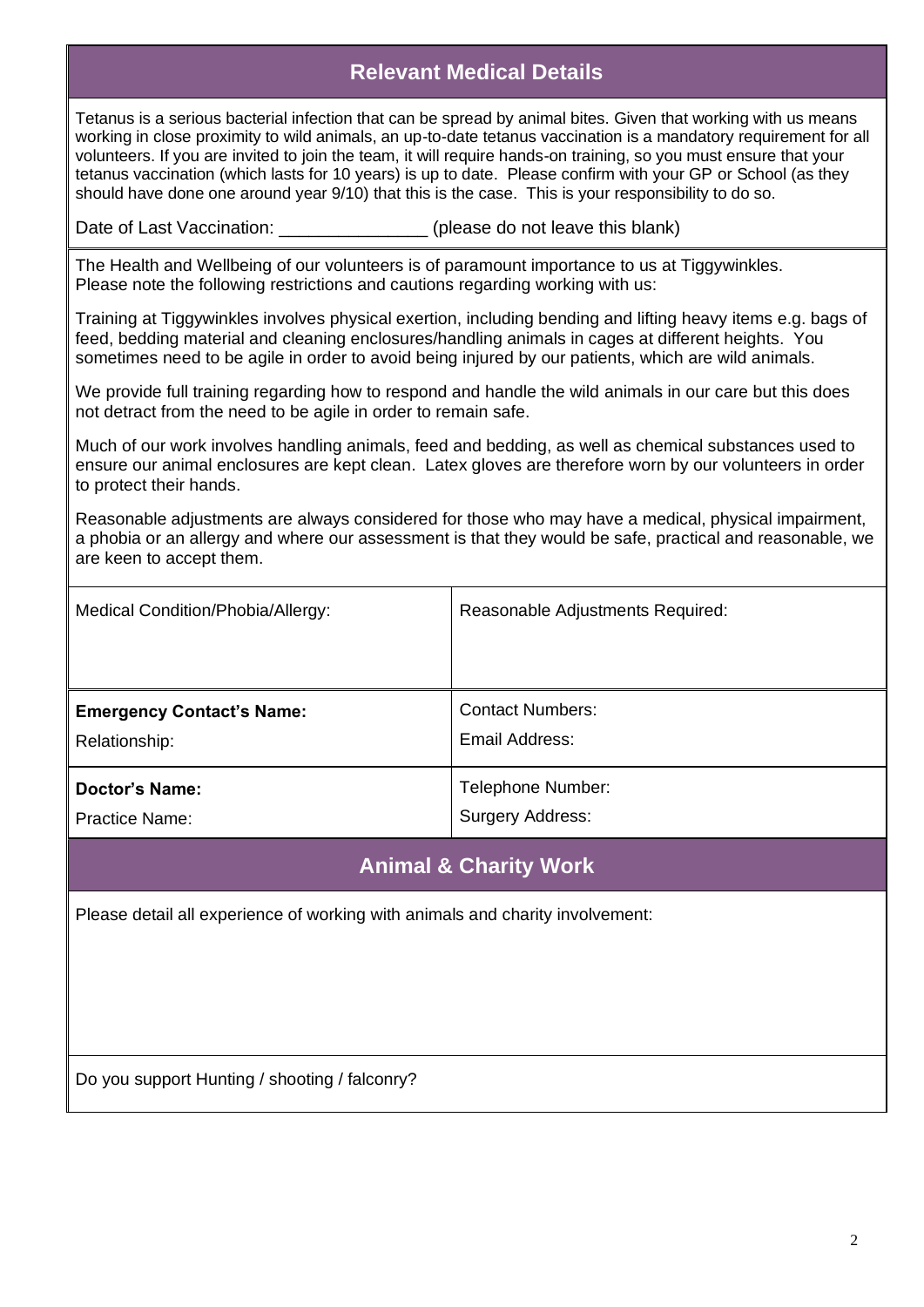## **Relevant Medical Details**

Tetanus is a serious bacterial infection that can be spread by animal bites. Given that working with us means working in close proximity to wild animals, an up-to-date tetanus vaccination is a mandatory requirement for all volunteers. If you are invited to join the team, it will require hands-on training, so you must ensure that your tetanus vaccination (which lasts for 10 years) is up to date. Please confirm with your GP or School (as they should have done one around year 9/10) that this is the case. This is your responsibility to do so.

Date of Last Vaccination: \_\_\_\_\_\_\_\_\_\_\_\_\_\_\_\_\_\_ (please do not leave this blank)

The Health and Wellbeing of our volunteers is of paramount importance to us at Tiggywinkles. Please note the following restrictions and cautions regarding working with us:

Training at Tiggywinkles involves physical exertion, including bending and lifting heavy items e.g. bags of feed, bedding material and cleaning enclosures/handling animals in cages at different heights. You sometimes need to be agile in order to avoid being injured by our patients, which are wild animals.

We provide full training regarding how to respond and handle the wild animals in our care but this does not detract from the need to be agile in order to remain safe.

Much of our work involves handling animals, feed and bedding, as well as chemical substances used to ensure our animal enclosures are kept clean. Latex gloves are therefore worn by our volunteers in order to protect their hands.

Reasonable adjustments are always considered for those who may have a medical, physical impairment, a phobia or an allergy and where our assessment is that they would be safe, practical and reasonable, we are keen to accept them.

| Medical Condition/Phobia/Allergy: | Reasonable Adjustments Required: |
|-----------------------------------|----------------------------------|
| <b>Emergency Contact's Name:</b>  | <b>Contact Numbers:</b>          |
| Relationship:                     | Email Address:                   |
| Doctor's Name:                    | Telephone Number:                |
| <b>Practice Name:</b>             | Surgery Address:                 |

#### **Animal & Charity Work**

Please detail all experience of working with animals and charity involvement:

Do you support Hunting / shooting / falconry?